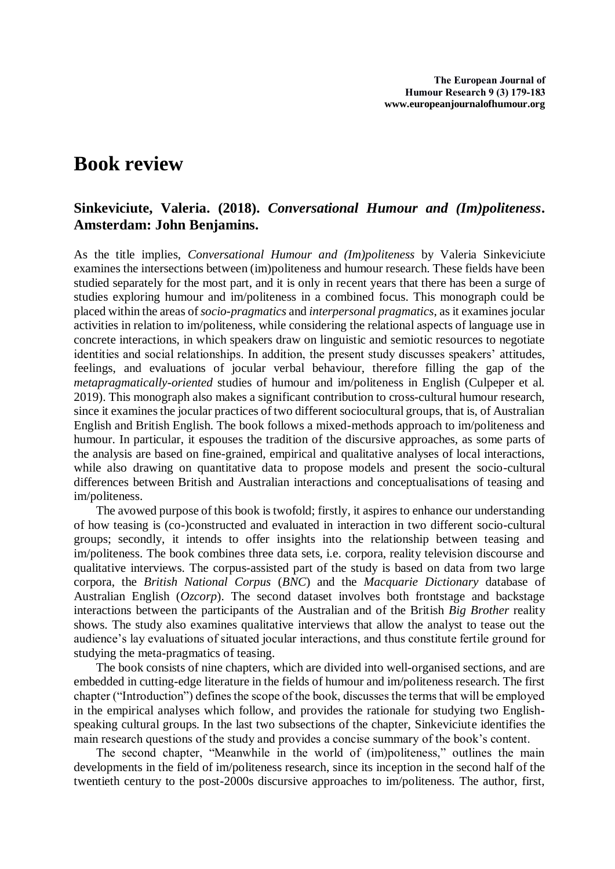## **Book review**

## **Sinkeviciute, Valeria. (2018).** *Conversational Humour and (Im)politeness***. Amsterdam: John Benjamins.**

As the title implies, *Conversational Humour and (Im)politeness* by Valeria Sinkeviciute examines the intersections between (im)politeness and humour research. These fields have been studied separately for the most part, and it is only in recent years that there has been a surge of studies exploring humour and im/politeness in a combined focus. This monograph could be placed within the areas of *socio-pragmatics* and *interpersonal pragmatics*, as it examines jocular activities in relation to im/politeness, while considering the relational aspects of language use in concrete interactions, in which speakers draw on linguistic and semiotic resources to negotiate identities and social relationships. In addition, the present study discusses speakers' attitudes, feelings, and evaluations of jocular verbal behaviour, therefore filling the gap of the *metapragmatically-oriented* studies of humour and im/politeness in English (Culpeper et al. 2019). This monograph also makes a significant contribution to cross-cultural humour research, since it examines the jocular practices of two different sociocultural groups, that is, of Australian English and British English. The book follows a mixed-methods approach to im/politeness and humour. In particular, it espouses the tradition of the discursive approaches, as some parts of the analysis are based on fine-grained, empirical and qualitative analyses of local interactions, while also drawing on quantitative data to propose models and present the socio-cultural differences between British and Australian interactions and conceptualisations of teasing and im/politeness.

The avowed purpose of this book is twofold; firstly, it aspires to enhance our understanding of how teasing is (co-)constructed and evaluated in interaction in two different socio-cultural groups; secondly, it intends to offer insights into the relationship between teasing and im/politeness. The book combines three data sets, i.e. corpora, reality television discourse and qualitative interviews. The corpus-assisted part of the study is based on data from two large corpora, the *British National Corpus* (*BNC*) and the *Macquarie Dictionary* database of Australian English (*Ozcorp*). The second dataset involves both frontstage and backstage interactions between the participants of the Australian and of the British *Big Brother* reality shows. The study also examines qualitative interviews that allow the analyst to tease out the audience's lay evaluations of situated jocular interactions, and thus constitute fertile ground for studying the meta-pragmatics of teasing.

The book consists of nine chapters, which are divided into well-organised sections, and are embedded in cutting-edge literature in the fields of humour and im/politeness research. The first chapter ("Introduction") defines the scope of the book, discusses the terms that will be employed in the empirical analyses which follow, and provides the rationale for studying two Englishspeaking cultural groups. In the last two subsections of the chapter, Sinkeviciute identifies the main research questions of the study and provides a concise summary of the book's content.

The second chapter, "Meanwhile in the world of (im)politeness," outlines the main developments in the field of im/politeness research, since its inception in the second half of the twentieth century to the post-2000s discursive approaches to im/politeness. The author, first,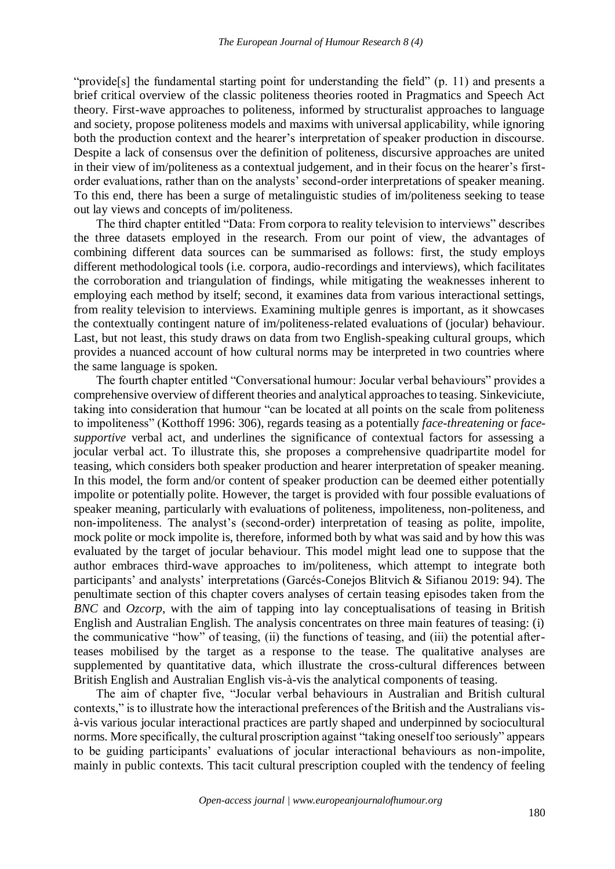"provide[s] the fundamental starting point for understanding the field" (p. 11) and presents a brief critical overview of the classic politeness theories rooted in Pragmatics and Speech Act theory. First-wave approaches to politeness, informed by structuralist approaches to language and society, propose politeness models and maxims with universal applicability, while ignoring both the production context and the hearer's interpretation of speaker production in discourse. Despite a lack of consensus over the definition of politeness, discursive approaches are united in their view of im/politeness as a contextual judgement, and in their focus on the hearer's firstorder evaluations, rather than on the analysts' second-order interpretations of speaker meaning. To this end, there has been a surge of metalinguistic studies of im/politeness seeking to tease out lay views and concepts of im/politeness.

The third chapter entitled "Data: From corpora to reality television to interviews" describes the three datasets employed in the research. From our point of view, the advantages of combining different data sources can be summarised as follows: first, the study employs different methodological tools (i.e. corpora, audio-recordings and interviews), which facilitates the corroboration and triangulation of findings, while mitigating the weaknesses inherent to employing each method by itself; second, it examines data from various interactional settings, from reality television to interviews. Examining multiple genres is important, as it showcases the contextually contingent nature of im/politeness-related evaluations of (jocular) behaviour. Last, but not least, this study draws on data from two English-speaking cultural groups, which provides a nuanced account of how cultural norms may be interpreted in two countries where the same language is spoken.

The fourth chapter entitled "Conversational humour: Jocular verbal behaviours" provides a comprehensive overview of different theories and analytical approaches to teasing. Sinkeviciute, taking into consideration that humour "can be located at all points on the scale from politeness to impoliteness" (Κοtthoff 1996: 306), regards teasing as a potentially *face-threatening* or *facesupportive* verbal act, and underlines the significance of contextual factors for assessing a jocular verbal act. To illustrate this, she proposes a comprehensive quadripartite model for teasing, which considers both speaker production and hearer interpretation of speaker meaning. In this model, the form and/or content of speaker production can be deemed either potentially impolite or potentially polite. However, the target is provided with four possible evaluations of speaker meaning, particularly with evaluations of politeness, impoliteness, non-politeness, and non-impoliteness. The analyst's (second-order) interpretation of teasing as polite, impolite, mock polite or mock impolite is, therefore, informed both by what was said and by how this was evaluated by the target of jocular behaviour. This model might lead one to suppose that the author embraces third-wave approaches to im/politeness, which attempt to integrate both participants' and analysts' interpretations (Garcés-Conejos Blitvich & Sifianou 2019: 94). The penultimate section of this chapter covers analyses of certain teasing episodes taken from the *BNC* and *Ozcorp*, with the aim of tapping into lay conceptualisations of teasing in British English and Australian English. The analysis concentrates on three main features of teasing: (i) the communicative "how" of teasing, (ii) the functions of teasing, and (iii) the potential afterteases mobilised by the target as a response to the tease. The qualitative analyses are supplemented by quantitative data, which illustrate the cross-cultural differences between British English and Australian English vis-à-vis the analytical components of teasing.

The aim of chapter five, "Jocular verbal behaviours in Australian and British cultural contexts," is to illustrate how the interactional preferences of the British and the Australians visà-vis various jocular interactional practices are partly shaped and underpinned by sociocultural norms. More specifically, the cultural proscription against "taking oneself too seriously" appears to be guiding participants' evaluations of jocular interactional behaviours as non-impolite, mainly in public contexts. This tacit cultural prescription coupled with the tendency of feeling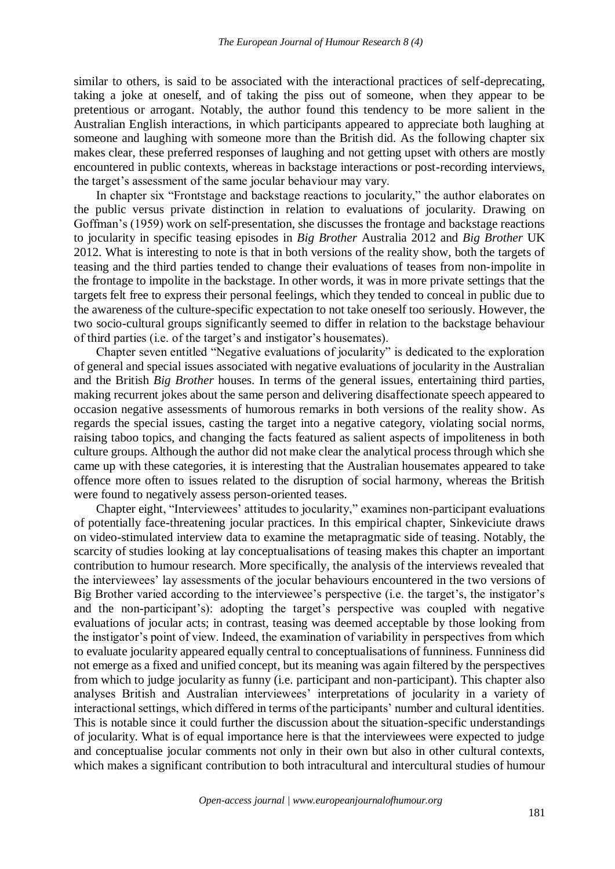similar to others, is said to be associated with the interactional practices of self-deprecating, taking a joke at oneself, and of taking the piss out of someone, when they appear to be pretentious or arrogant. Notably, the author found this tendency to be more salient in the Australian English interactions, in which participants appeared to appreciate both laughing at someone and laughing with someone more than the British did. As the following chapter six makes clear, these preferred responses of laughing and not getting upset with others are mostly encountered in public contexts, whereas in backstage interactions or post-recording interviews, the target's assessment of the same jocular behaviour may vary.

In chapter six "Frontstage and backstage reactions to jocularity," the author elaborates on the public versus private distinction in relation to evaluations of jocularity. Drawing on Goffman's (1959) work on self-presentation, she discusses the frontage and backstage reactions to jocularity in specific teasing episodes in *Big Brother* Australia 2012 and *Big Brother* UK 2012. What is interesting to note is that in both versions of the reality show, both the targets of teasing and the third parties tended to change their evaluations of teases from non-impolite in the frontage to impolite in the backstage. In other words, it was in more private settings that the targets felt free to express their personal feelings, which they tended to conceal in public due to the awareness of the culture-specific expectation to not take oneself too seriously. However, the two socio-cultural groups significantly seemed to differ in relation to the backstage behaviour of third parties (i.e. of the target's and instigator's housemates).

Chapter seven entitled "Negative evaluations of jocularity" is dedicated to the exploration of general and special issues associated with negative evaluations of jocularity in the Australian and the British *Big Brother* houses. In terms of the general issues, entertaining third parties, making recurrent jokes about the same person and delivering disaffectionate speech appeared to occasion negative assessments of humorous remarks in both versions of the reality show. As regards the special issues, casting the target into a negative category, violating social norms, raising taboo topics, and changing the facts featured as salient aspects of impoliteness in both culture groups. Although the author did not make clear the analytical process through which she came up with these categories, it is interesting that the Australian housemates appeared to take offence more often to issues related to the disruption of social harmony, whereas the British were found to negatively assess person-oriented teases.

Chapter eight, "Interviewees' attitudes to jocularity," examines non-participant evaluations of potentially face-threatening jocular practices. In this empirical chapter, Sinkeviciute draws on video-stimulated interview data to examine the metapragmatic side of teasing. Notably, the scarcity of studies looking at lay conceptualisations of teasing makes this chapter an important contribution to humour research. More specifically, the analysis of the interviews revealed that the interviewees' lay assessments of the jocular behaviours encountered in the two versions of Big Brother varied according to the interviewee's perspective (i.e. the target's, the instigator's and the non-participant's): adopting the target's perspective was coupled with negative evaluations of jocular acts; in contrast, teasing was deemed acceptable by those looking from the instigator's point of view. Indeed, the examination of variability in perspectives from which to evaluate jocularity appeared equally central to conceptualisations of funniness. Funniness did not emerge as a fixed and unified concept, but its meaning was again filtered by the perspectives from which to judge jocularity as funny (i.e. participant and non-participant). This chapter also analyses British and Australian interviewees' interpretations of jocularity in a variety of interactional settings, which differed in terms of the participants' number and cultural identities. This is notable since it could further the discussion about the situation-specific understandings of jocularity. What is of equal importance here is that the interviewees were expected to judge and conceptualise jocular comments not only in their own but also in other cultural contexts, which makes a significant contribution to both intracultural and intercultural studies of humour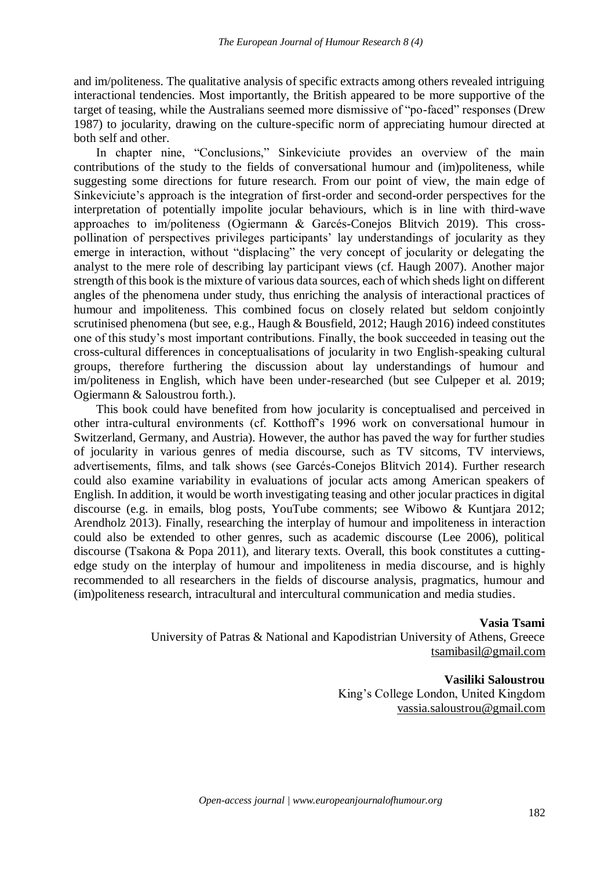and im/politeness. The qualitative analysis of specific extracts among others revealed intriguing interactional tendencies. Most importantly, the British appeared to be more supportive of the target of teasing, while the Australians seemed more dismissive of "po-faced" responses (Drew 1987) to jocularity, drawing on the culture-specific norm of appreciating humour directed at both self and other.

In chapter nine, "Conclusions," Sinkeviciute provides an overview of the main contributions of the study to the fields of conversational humour and (im)politeness, while suggesting some directions for future research. From our point of view, the main edge of Sinkeviciute's approach is the integration of first-order and second-order perspectives for the interpretation of potentially impolite jocular behaviours, which is in line with third-wave approaches to im/politeness (Ogiermann & Garcés-Conejos Blitvich 2019). This crosspollination of perspectives privileges participants' lay understandings of jocularity as they emerge in interaction, without "displacing" the very concept of jocularity or delegating the analyst to the mere role of describing lay participant views (cf. Haugh 2007). Another major strength of this book is the mixture of various data sources, each of which sheds light on different angles of the phenomena under study, thus enriching the analysis of interactional practices of humour and impoliteness. This combined focus on closely related but seldom conjointly scrutinised phenomena (but see, e.g., Haugh & Bousfield, 2012; Haugh 2016) indeed constitutes one of this study's most important contributions. Finally, the book succeeded in teasing out the cross-cultural differences in conceptualisations of jocularity in two English-speaking cultural groups, therefore furthering the discussion about lay understandings of humour and im/politeness in English, which have been under-researched (but see Culpeper et al. 2019; Ogiermann & Saloustrou forth.).

This book could have benefited from how jocularity is conceptualised and perceived in other intra-cultural environments (cf. Kotthoff's 1996 work on conversational humour in Switzerland, Germany, and Austria). However, the author has paved the way for further studies of jocularity in various genres of media discourse, such as TV sitcoms, TV interviews, advertisements, films, and talk shows (see Garcés-Conejos Blitvich 2014). Further research could also examine variability in evaluations of jocular acts among American speakers of English. In addition, it would be worth investigating teasing and other jocular practices in digital discourse (e.g. in emails, blog posts, YouTube comments; see Wibowo & Kuntjara 2012; Arendholz 2013). Finally, researching the interplay of humour and impoliteness in interaction could also be extended to other genres, such as academic discourse (Lee 2006), political discourse (Tsakona & Popa 2011), and literary texts. Overall, this book constitutes a cuttingedge study on the interplay of humour and impoliteness in media discourse, and is highly recommended to all researchers in the fields of discourse analysis, pragmatics, humour and (im)politeness research, intracultural and intercultural communication and media studies.

**Vasia Tsami**

University of Patras & National and Kapodistrian University of Athens, Greece [tsamibasil@gmail.com](mailto:tsamibasil@gmail.com) 

> **Vasiliki Saloustrou** King's College London, United Kingdom [vassia.saloustrou@gmail.com](mailto:tsamibasil@gmail.com)